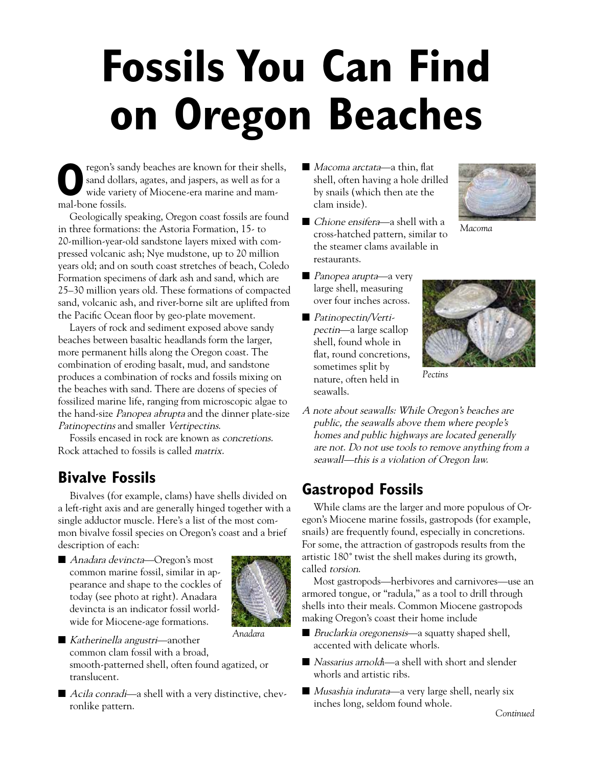## **Fossils You Can Find on Oregon Beaches**

**by solution** regon's sandy beaches are known for their shells,  $\blacksquare$  *Macoma arctata*—a thin, flat sand dollars, agates, and jaspers, as well as for a<br>wide variety of Miocene-era marine and mam-<br>by snails (which then ate regon's sandy beaches are known for their shells, sand dollars, agates, and jaspers, as well as for a wide variety of Miocene-era marine and mammal-bone fossils.

Geologically speaking, Oregon coast fossils are found in three formations: the Astoria Formation, 15- to 20-million-year-old sandstone layers mixed with compressed volcanic ash; Nye mudstone, up to 20 million years old; and on south coast stretches of beach, Coledo Formation specimens of dark ash and sand, which are 25–30 million years old. These formations of compacted sand, volcanic ash, and river-borne silt are uplifted from the Pacific Ocean floor by geo-plate movement.

Layers of rock and sediment exposed above sandy beaches between basaltic headlands form the larger, more permanent hills along the Oregon coast. The combination of eroding basalt, mud, and sandstone produces a combination of rocks and fossils mixing on the beaches with sand. There are dozens of species of fossilized marine life, ranging from microscopic algae to the hand-size Panopea abrupta and the dinner plate-size Patinopectins and smaller Vertipectins.

Fossils encased in rock are known as concretions. Rock attached to fossils is called matrix.

## **Bivalve Fossils**

Bivalves (for example, clams) have shells divided on a left-right axis and are generally hinged together with a single adductor muscle. Here's a list of the most common bivalve fossil species on Oregon's coast and a brief description of each:

■ *Anadara devincta*—Oregon's most common marine fossil, similar in appearance and shape to the cockles of today (see photo at right). Anadara devincta is an indicator fossil worldwide for Miocene-age formations.



- *Anadara*
- *Katherinella angustri*—another common clam fossil with a broad, smooth-patterned shell, often found agatized, or translucent.
- *Acila conradi*—a shell with a very distinctive, chevronlike pattern.

■ *Macoma arctata*—a thin, flat shell, often having a hole drilled clam inside).



- *Macoma*
- *Chione ensifera*—a shell with a cross-hatched pattern, similar to the steamer clams available in restaurants.
- *Panopea arupta*—a very large shell, measuring over four inches across.
- *Patinopectin*/Vertipectin—a large scallop shell, found whole in flat, round concretions, sometimes split by nature, often held in seawalls.



- *Pectins*
- A note about seawalls: While Oregon's beaches are public, the seawalls above them where people's homes and public highways are located generally are not. Do not use tools to remove anything from a seawall—this is a violation of Oregon law.

## **Gastropod Fossils**

While clams are the larger and more populous of Oregon's Miocene marine fossils, gastropods (for example, snails) are frequently found, especially in concretions. For some, the attraction of gastropods results from the artistic 180˚ twist the shell makes during its growth, called torsion.

Most gastropods—herbivores and carnivores—use an armored tongue, or "radula," as a tool to drill through shells into their meals. Common Miocene gastropods making Oregon's coast their home include

- *Bruclarkia oregonensis*—a squatty shaped shell, accented with delicate whorls.
- *Nassarius arnold*i—a shell with short and slender whorls and artistic ribs.
- $\blacksquare$  Musashia indurata—a very large shell, nearly six inches long, seldom found whole.